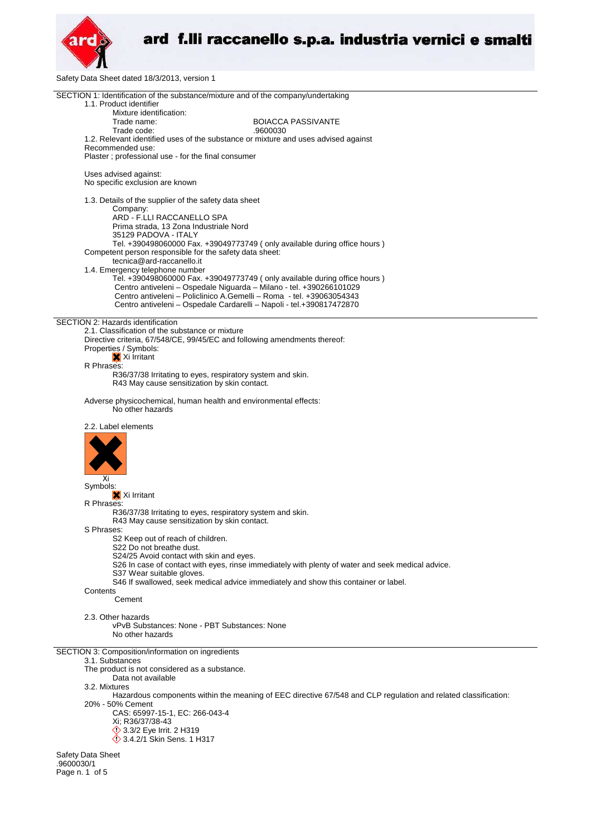

Safety Data Sheet dated 18/3/2013, version 1

| SECTION 1: Identification of the substance/mixture and of the company/undertaking<br>1.1. Product identifier                       |
|------------------------------------------------------------------------------------------------------------------------------------|
|                                                                                                                                    |
|                                                                                                                                    |
| Mixture identification:                                                                                                            |
| Trade name:<br><b>BOIACCA PASSIVANTE</b>                                                                                           |
| Trade code:<br>.9600030                                                                                                            |
| 1.2. Relevant identified uses of the substance or mixture and uses advised against                                                 |
| Recommended use:                                                                                                                   |
| Plaster; professional use - for the final consumer                                                                                 |
| Uses advised against:                                                                                                              |
| No specific exclusion are known                                                                                                    |
|                                                                                                                                    |
| 1.3. Details of the supplier of the safety data sheet                                                                              |
| Company:                                                                                                                           |
| ARD - F.LLI RACCANELLO SPA                                                                                                         |
| Prima strada, 13 Zona Industriale Nord                                                                                             |
| 35129 PADOVA - ITALY<br>Tel. +390498060000 Fax. +39049773749 ( only available during office hours )                                |
| Competent person responsible for the safety data sheet:                                                                            |
| tecnica@ard-raccanello.it                                                                                                          |
| 1.4. Emergency telephone number                                                                                                    |
| Tel. +390498060000 Fax. +39049773749 (only available during office hours)                                                          |
| Centro antiveleni - Ospedale Niguarda - Milano - tel. +390266101029                                                                |
| Centro antiveleni – Policlinico A.Gemelli – Roma - tel. +39063054343                                                               |
| Centro antiveleni - Ospedale Cardarelli - Napoli - tel.+390817472870                                                               |
|                                                                                                                                    |
| SECTION 2: Hazards identification<br>2.1. Classification of the substance or mixture                                               |
| Directive criteria, 67/548/CE, 99/45/EC and following amendments thereof:                                                          |
| Properties / Symbols:                                                                                                              |
| X Xi Irritant                                                                                                                      |
| R Phrases:                                                                                                                         |
| R36/37/38 Irritating to eyes, respiratory system and skin.                                                                         |
| R43 May cause sensitization by skin contact.                                                                                       |
|                                                                                                                                    |
| Adverse physicochemical, human health and environmental effects:                                                                   |
| No other hazards                                                                                                                   |
| 2.2. Label elements                                                                                                                |
|                                                                                                                                    |
|                                                                                                                                    |
|                                                                                                                                    |
|                                                                                                                                    |
|                                                                                                                                    |
| Χi                                                                                                                                 |
| Symbols:                                                                                                                           |
|                                                                                                                                    |
| X Xi Irritant                                                                                                                      |
| R Phrases:                                                                                                                         |
| R36/37/38 Irritating to eyes, respiratory system and skin.                                                                         |
| R43 May cause sensitization by skin contact.                                                                                       |
| S Phrases:                                                                                                                         |
| S2 Keep out of reach of children.<br>S22 Do not breathe dust.                                                                      |
| S24/25 Avoid contact with skin and eyes.                                                                                           |
| S26 In case of contact with eyes, rinse immediately with plenty of water and seek medical advice.                                  |
| S37 Wear suitable gloves.                                                                                                          |
| S46 If swallowed, seek medical advice immediately and show this container or label.                                                |
| Contents                                                                                                                           |
| Cement                                                                                                                             |
| 2.3. Other hazards                                                                                                                 |
| vPvB Substances: None - PBT Substances: None                                                                                       |
| No other hazards                                                                                                                   |
|                                                                                                                                    |
| SECTION 3: Composition/information on ingredients                                                                                  |
| 3.1. Substances                                                                                                                    |
| The product is not considered as a substance.                                                                                      |
| Data not available                                                                                                                 |
| 3.2. Mixtures                                                                                                                      |
| Hazardous components within the meaning of EEC directive 67/548 and CLP regulation and related classification:<br>20% - 50% Cement |
| CAS: 65997-15-1, EC: 266-043-4                                                                                                     |
| Xi; R36/37/38-43                                                                                                                   |
| <b>◯ 3.3/2 Eye Irrit. 2 H319</b>                                                                                                   |
| <b>◯ 3.4.2/1 Skin Sens. 1 H317</b>                                                                                                 |

Safety Data Sheet .9600030/1 Page n. 1 of 5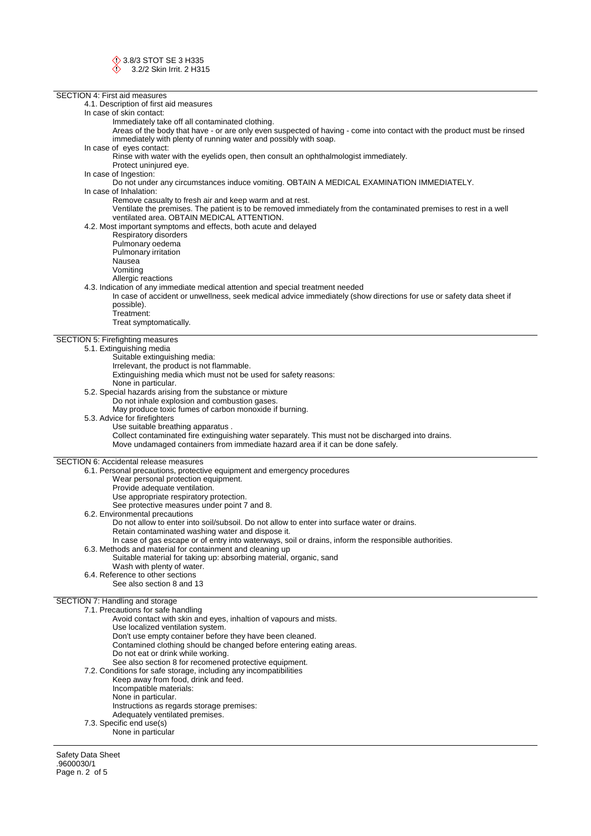SECTION 4: First aid measures 4.1. Description of first aid measures In case of skin contact: Immediately take off all contaminated clothing. Areas of the body that have - or are only even suspected of having - come into contact with the product must be rinsed immediately with plenty of running water and possibly with soap. In case of eyes contact: Rinse with water with the eyelids open, then consult an ophthalmologist immediately. Protect uninjured eye. In case of Ingestion: Do not under any circumstances induce vomiting. OBTAIN A MEDICAL EXAMINATION IMMEDIATELY. In case of Inhalation: Remove casualty to fresh air and keep warm and at rest. Ventilate the premises. The patient is to be removed immediately from the contaminated premises to rest in a well ventilated area. OBTAIN MEDICAL ATTENTION. 4.2. Most important symptoms and effects, both acute and delayed Respiratory disorders Pulmonary oedema Pulmonary irritation Nausea Vomiting Allergic reactions 4.3. Indication of any immediate medical attention and special treatment needed In case of accident or unwellness, seek medical advice immediately (show directions for use or safety data sheet if possible). Treatment: Treat symptomatically. SECTION 5: Firefighting measures 5.1. Extinguishing media Suitable extinguishing media: Irrelevant, the product is not flammable. Extinguishing media which must not be used for safety reasons: None in particular. 5.2. Special hazards arising from the substance or mixture Do not inhale explosion and combustion gases. May produce toxic fumes of carbon monoxide if burning. 5.3. Advice for firefighters Use suitable breathing apparatus . Collect contaminated fire extinguishing water separately. This must not be discharged into drains. Move undamaged containers from immediate hazard area if it can be done safely. SECTION 6: Accidental release measures 6.1. Personal precautions, protective equipment and emergency procedures Wear personal protection equipment. Provide adequate ventilation. Use appropriate respiratory protection. See protective measures under point 7 and 8. 6.2. Environmental precautions Do not allow to enter into soil/subsoil. Do not allow to enter into surface water or drains. Retain contaminated washing water and dispose it. In case of gas escape or of entry into waterways, soil or drains, inform the responsible authorities. 6.3. Methods and material for containment and cleaning up Suitable material for taking up: absorbing material, organic, sand Wash with plenty of water. 6.4. Reference to other sections See also section 8 and 13 SECTION 7: Handling and storage 7.1. Precautions for safe handling Avoid contact with skin and eyes, inhaltion of vapours and mists. Use localized ventilation system. Don't use empty container before they have been cleaned. Contamined clothing should be changed before entering eating areas. Do not eat or drink while working. See also section 8 for recomened protective equipment. 7.2. Conditions for safe storage, including any incompatibilities Keep away from food, drink and feed. Incompatible materials: None in particular. Instructions as regards storage premises:

- 
- Adequately ventilated premises.
- 7.3. Specific end use(s)

None in particular

Safety Data Sheet .9600030/1 Page n. 2 of 5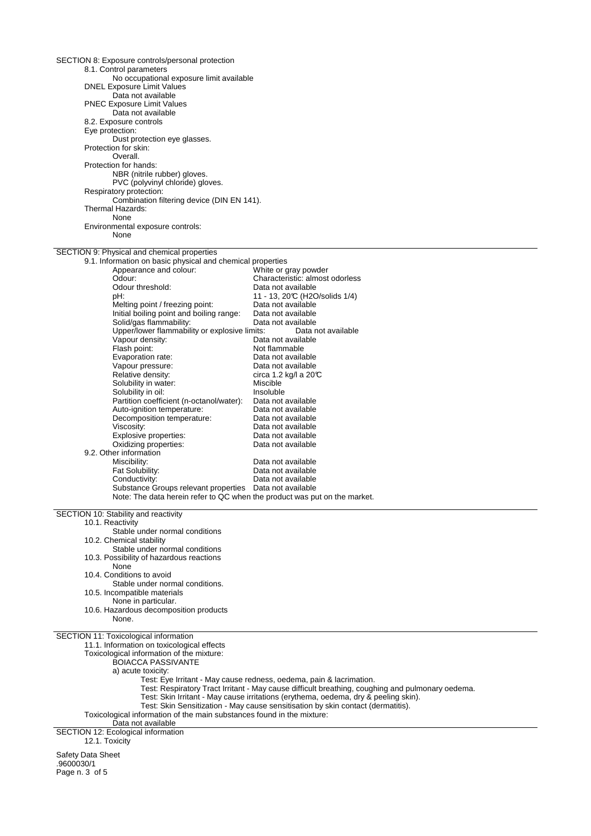| SECTION 8: Exposure controls/personal protection                                                                                     |                                                                                                  |
|--------------------------------------------------------------------------------------------------------------------------------------|--------------------------------------------------------------------------------------------------|
| 8.1. Control parameters<br>No occupational exposure limit available                                                                  |                                                                                                  |
| <b>DNEL Exposure Limit Values</b>                                                                                                    |                                                                                                  |
| Data not available                                                                                                                   |                                                                                                  |
| <b>PNEC Exposure Limit Values</b><br>Data not available                                                                              |                                                                                                  |
| 8.2. Exposure controls                                                                                                               |                                                                                                  |
| Eye protection:                                                                                                                      |                                                                                                  |
| Dust protection eye glasses.<br>Protection for skin:                                                                                 |                                                                                                  |
| Overall.                                                                                                                             |                                                                                                  |
| Protection for hands:<br>NBR (nitrile rubber) gloves.                                                                                |                                                                                                  |
| PVC (polyvinyl chloride) gloves.                                                                                                     |                                                                                                  |
| Respiratory protection:                                                                                                              |                                                                                                  |
| Combination filtering device (DIN EN 141).<br>Thermal Hazards:                                                                       |                                                                                                  |
| None                                                                                                                                 |                                                                                                  |
| Environmental exposure controls:<br>None                                                                                             |                                                                                                  |
| SECTION 9: Physical and chemical properties                                                                                          |                                                                                                  |
| 9.1. Information on basic physical and chemical properties<br>Appearance and colour:                                                 | White or gray powder                                                                             |
| Odour:                                                                                                                               | Characteristic: almost odorless                                                                  |
| Odour threshold:                                                                                                                     | Data not available                                                                               |
| :Hα<br>Melting point / freezing point:                                                                                               | 11 - 13, 20°C (H2O/solids 1/4)<br>Data not available                                             |
| Initial boiling point and boiling range:                                                                                             | Data not available                                                                               |
| Solid/gas flammability:                                                                                                              | Data not available                                                                               |
| Upper/lower flammability or explosive limits:<br>Vapour density:                                                                     | Data not available<br>Data not available                                                         |
| Flash point:                                                                                                                         | Not flammable                                                                                    |
| Evaporation rate:                                                                                                                    | Data not available                                                                               |
| Vapour pressure:<br>Relative density:                                                                                                | Data not available<br>circa 1.2 kg/l a 20°C                                                      |
| Solubility in water:                                                                                                                 | Miscible                                                                                         |
| Solubility in oil:                                                                                                                   | Insoluble                                                                                        |
| Partition coefficient (n-octanol/water):<br>Auto-ignition temperature:                                                               | Data not available<br>Data not available                                                         |
| Decomposition temperature:                                                                                                           | Data not available                                                                               |
| Viscosity:                                                                                                                           | Data not available                                                                               |
| Explosive properties:<br>Oxidizing properties:                                                                                       | Data not available<br>Data not available                                                         |
| 9.2. Other information                                                                                                               |                                                                                                  |
| Miscibility:                                                                                                                         | Data not available                                                                               |
| Fat Solubility:<br>Conductivity:                                                                                                     | Data not available<br>Data not available                                                         |
| Substance Groups relevant properties Data not available<br>Note: The data herein refer to QC when the product was put on the market. |                                                                                                  |
| SECTION 10: Stability and reactivity                                                                                                 |                                                                                                  |
| 10.1. Reactivity                                                                                                                     |                                                                                                  |
| Stable under normal conditions                                                                                                       |                                                                                                  |
| 10.2. Chemical stability<br>Stable under normal conditions                                                                           |                                                                                                  |
| 10.3. Possibility of hazardous reactions                                                                                             |                                                                                                  |
| None                                                                                                                                 |                                                                                                  |
| 10.4. Conditions to avoid<br>Stable under normal conditions.                                                                         |                                                                                                  |
| 10.5. Incompatible materials                                                                                                         |                                                                                                  |
| None in particular.<br>10.6. Hazardous decomposition products                                                                        |                                                                                                  |
| None.                                                                                                                                |                                                                                                  |
| SECTION 11: Toxicological information<br>11.1. Information on toxicological effects                                                  |                                                                                                  |
| Toxicological information of the mixture:                                                                                            |                                                                                                  |
| <b>BOIACCA PASSIVANTE</b>                                                                                                            |                                                                                                  |
| a) acute toxicity:                                                                                                                   | Test: Eye Irritant - May cause redness, oedema, pain & lacrimation.                              |
|                                                                                                                                      | Test: Respiratory Tract Irritant - May cause difficult breathing, coughing and pulmonary oedema. |
|                                                                                                                                      | Test: Skin Irritant - May cause irritations (erythema, oedema, dry & peeling skin).              |
|                                                                                                                                      | Test: Skin Sensitization - May cause sensitisation by skin contact (dermatitis).                 |
|                                                                                                                                      |                                                                                                  |
| Toxicological information of the main substances found in the mixture:<br>Data not available                                         |                                                                                                  |
|                                                                                                                                      |                                                                                                  |
| SECTION 12: Ecological information<br>12.1. Toxicity<br>Safety Data Sheet                                                            |                                                                                                  |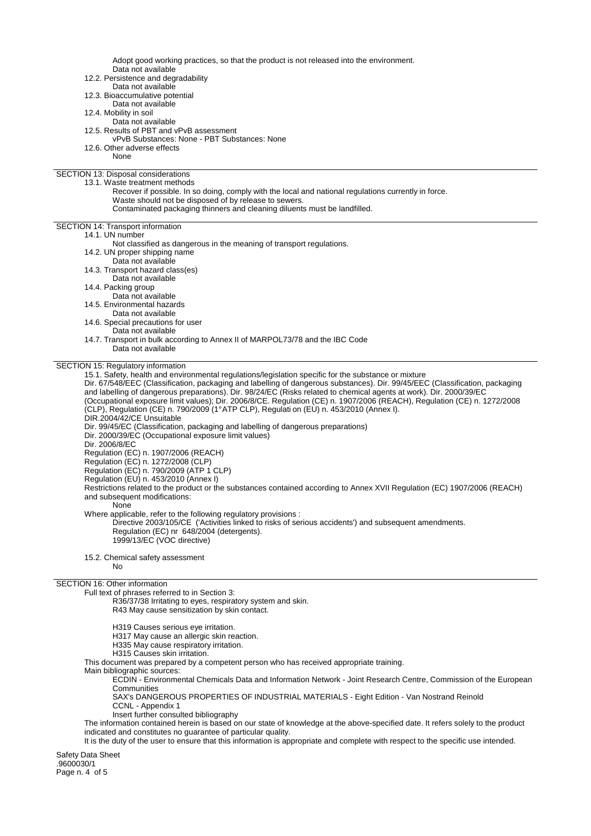Adopt good working practices, so that the product is not released into the environment. Data not available

- 12.2. Persistence and degradability Data not available 12.3. Bioaccumulative potential
	- Data not available
- 12.4. Mobility in soil
	- Data not available
- 12.5. Results of PBT and vPvB assessment
- vPvB Substances: None PBT Substances: None
- 12.6. Other adverse effects
	- None

#### SECTION 13: Disposal considerations 13.1. Waste treatment methods

- Recover if possible. In so doing, comply with the local and national regulations currently in force.
- Waste should not be disposed of by release to sewers.
	- Contaminated packaging thinners and cleaning diluents must be landfilled.

## SECTION 14: Transport information

- 14.1. UN number
	- Not classified as dangerous in the meaning of transport regulations.
	- 14.2. UN proper shipping name
	- Data not available
	- 14.3. Transport hazard class(es)
	- Data not available
	- 14.4. Packing group
	- Data not available
	- 14.5. Environmental hazards
	- Data not available
	- 14.6. Special precautions for user
		- Data not available
	- 14.7. Transport in bulk according to Annex II of MARPOL73/78 and the IBC Code
	- Data not available

# SECTION 15: Regulatory information

15.1. Safety, health and environmental regulations/legislation specific for the substance or mixture

Dir. 67/548/EEC (Classification, packaging and labelling of dangerous substances). Dir. 99/45/EEC (Classification, packaging and labelling of dangerous preparations). Dir. 98/24/EC (Risks related to chemical agents at work). Dir. 2000/39/EC (Occupational exposure limit values); Dir. 2006/8/CE. Regulation (CE) n. 1907/2006 (REACH), Regulation (CE) n. 1272/2008 (CLP), Regulation (CE) n. 790/2009 (1° ATP CLP), Regulati on (EU) n. 453/2010 (Annex I). DIR.2004/42/CE Unsuitable Dir. 99/45/EC (Classification, packaging and labelling of dangerous preparations)

Dir. 2000/39/EC (Occupational exposure limit values)

Dir. 2006/8/EC

Regulation (EC) n. 1907/2006 (REACH)

Regulation (EC) n. 1272/2008 (CLP)

Regulation (EC) n. 790/2009 (ATP 1 CLP)

Regulation (EU) n. 453/2010 (Annex I)

Restrictions related to the product or the substances contained according to Annex XVII Regulation (EC) 1907/2006 (REACH) and subsequent modifications:

### None

Where applicable, refer to the following regulatory provisions :

Directive 2003/105/CE ('Activities linked to risks of serious accidents') and subsequent amendments. Regulation (EC) nr 648/2004 (detergents). 1999/13/EC (VOC directive)

15.2. Chemical safety assessment No

## SECTION 16: Other information

# Full text of phrases referred to in Section 3:

- R36/37/38 Irritating to eyes, respiratory system and skin. R43 May cause sensitization by skin contact.
- H319 Causes serious eye irritation.
- H317 May cause an allergic skin reaction.
- H335 Mav cause respiratory irritation.
- H315 Causes skin irritation.

This document was prepared by a competent person who has received appropriate training.

Main bibliographic sources:

ECDIN - Environmental Chemicals Data and Information Network - Joint Research Centre, Commission of the European **Communities** 

SAX's DANGEROUS PROPERTIES OF INDUSTRIAL MATERIALS - Eight Edition - Van Nostrand Reinold CCNL - Appendix 1

Insert further consulted bibliography

The information contained herein is based on our state of knowledge at the above-specified date. It refers solely to the product indicated and constitutes no guarantee of particular quality.

It is the duty of the user to ensure that this information is appropriate and complete with respect to the specific use intended.

Safety Data Sheet .9600030/1 Page n. 4 of 5